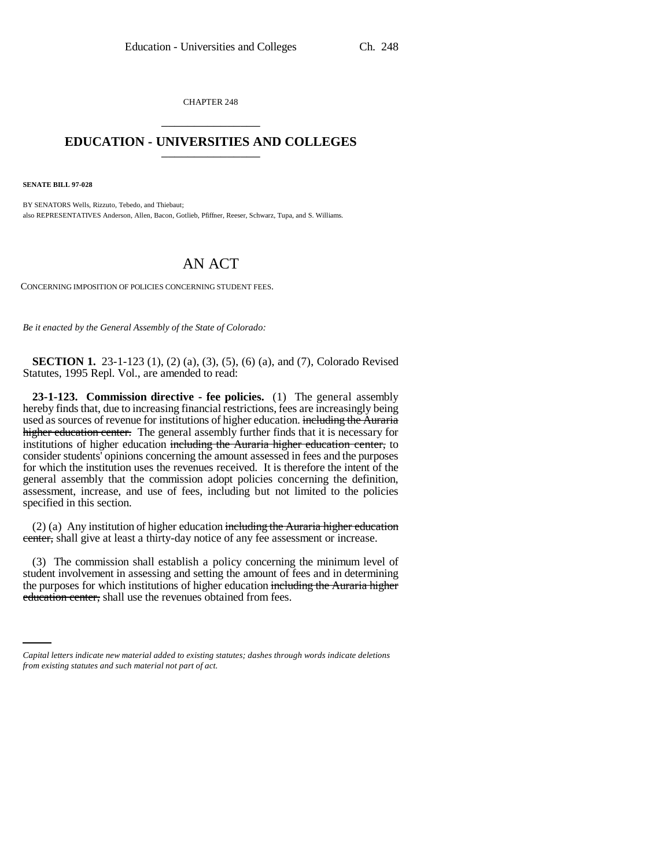CHAPTER 248 \_\_\_\_\_\_\_\_\_\_\_\_\_\_\_

## **EDUCATION - UNIVERSITIES AND COLLEGES** \_\_\_\_\_\_\_\_\_\_\_\_\_\_\_

**SENATE BILL 97-028**

BY SENATORS Wells, Rizzuto, Tebedo, and Thiebaut; also REPRESENTATIVES Anderson, Allen, Bacon, Gotlieb, Pfiffner, Reeser, Schwarz, Tupa, and S. Williams.

## AN ACT

CONCERNING IMPOSITION OF POLICIES CONCERNING STUDENT FEES.

*Be it enacted by the General Assembly of the State of Colorado:*

**SECTION 1.** 23-1-123 (1), (2) (a), (3), (5), (6) (a), and (7), Colorado Revised Statutes, 1995 Repl. Vol., are amended to read:

**23-1-123. Commission directive - fee policies.** (1) The general assembly hereby finds that, due to increasing financial restrictions, fees are increasingly being used as sources of revenue for institutions of higher education. including the Auraria higher education center. The general assembly further finds that it is necessary for institutions of higher education including the Auraria higher education center, to consider students' opinions concerning the amount assessed in fees and the purposes for which the institution uses the revenues received. It is therefore the intent of the general assembly that the commission adopt policies concerning the definition, assessment, increase, and use of fees, including but not limited to the policies specified in this section.

(2) (a) Any institution of higher education including the Auraria higher education center, shall give at least a thirty-day notice of any fee assessment or increase.

the purposes for which institutions of higher education including the Auraria higher (3) The commission shall establish a policy concerning the minimum level of student involvement in assessing and setting the amount of fees and in determining education center, shall use the revenues obtained from fees.

*Capital letters indicate new material added to existing statutes; dashes through words indicate deletions from existing statutes and such material not part of act.*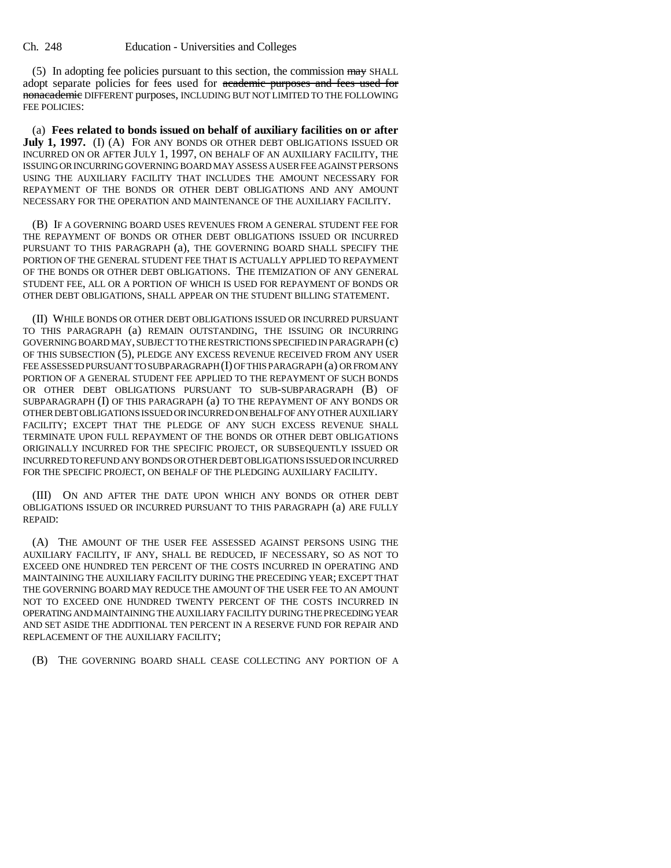(5) In adopting fee policies pursuant to this section, the commission  $\frac{1}{2}$  SHALL adopt separate policies for fees used for academic purposes and fees used for nonacademic DIFFERENT purposes, INCLUDING BUT NOT LIMITED TO THE FOLLOWING FEE POLICIES:

(a) **Fees related to bonds issued on behalf of auxiliary facilities on or after July 1, 1997.** (I) (A) FOR ANY BONDS OR OTHER DEBT OBLIGATIONS ISSUED OR INCURRED ON OR AFTER JULY 1, 1997, ON BEHALF OF AN AUXILIARY FACILITY, THE ISSUING OR INCURRING GOVERNING BOARD MAY ASSESS A USER FEE AGAINST PERSONS USING THE AUXILIARY FACILITY THAT INCLUDES THE AMOUNT NECESSARY FOR REPAYMENT OF THE BONDS OR OTHER DEBT OBLIGATIONS AND ANY AMOUNT NECESSARY FOR THE OPERATION AND MAINTENANCE OF THE AUXILIARY FACILITY.

(B) IF A GOVERNING BOARD USES REVENUES FROM A GENERAL STUDENT FEE FOR THE REPAYMENT OF BONDS OR OTHER DEBT OBLIGATIONS ISSUED OR INCURRED PURSUANT TO THIS PARAGRAPH (a), THE GOVERNING BOARD SHALL SPECIFY THE PORTION OF THE GENERAL STUDENT FEE THAT IS ACTUALLY APPLIED TO REPAYMENT OF THE BONDS OR OTHER DEBT OBLIGATIONS. THE ITEMIZATION OF ANY GENERAL STUDENT FEE, ALL OR A PORTION OF WHICH IS USED FOR REPAYMENT OF BONDS OR OTHER DEBT OBLIGATIONS, SHALL APPEAR ON THE STUDENT BILLING STATEMENT.

(II) WHILE BONDS OR OTHER DEBT OBLIGATIONS ISSUED OR INCURRED PURSUANT TO THIS PARAGRAPH (a) REMAIN OUTSTANDING, THE ISSUING OR INCURRING GOVERNING BOARD MAY, SUBJECT TO THE RESTRICTIONS SPECIFIED IN PARAGRAPH (c) OF THIS SUBSECTION (5), PLEDGE ANY EXCESS REVENUE RECEIVED FROM ANY USER FEE ASSESSED PURSUANT TO SUBPARAGRAPH (I) OF THIS PARAGRAPH (a) OR FROM ANY PORTION OF A GENERAL STUDENT FEE APPLIED TO THE REPAYMENT OF SUCH BONDS OR OTHER DEBT OBLIGATIONS PURSUANT TO SUB-SUBPARAGRAPH (B) OF SUBPARAGRAPH (I) OF THIS PARAGRAPH (a) TO THE REPAYMENT OF ANY BONDS OR OTHER DEBT OBLIGATIONS ISSUED OR INCURRED ON BEHALF OF ANY OTHER AUXILIARY FACILITY; EXCEPT THAT THE PLEDGE OF ANY SUCH EXCESS REVENUE SHALL TERMINATE UPON FULL REPAYMENT OF THE BONDS OR OTHER DEBT OBLIGATIONS ORIGINALLY INCURRED FOR THE SPECIFIC PROJECT, OR SUBSEQUENTLY ISSUED OR INCURRED TO REFUND ANY BONDS OR OTHER DEBT OBLIGATIONS ISSUED OR INCURRED FOR THE SPECIFIC PROJECT, ON BEHALF OF THE PLEDGING AUXILIARY FACILITY.

(III) ON AND AFTER THE DATE UPON WHICH ANY BONDS OR OTHER DEBT OBLIGATIONS ISSUED OR INCURRED PURSUANT TO THIS PARAGRAPH (a) ARE FULLY REPAID:

(A) THE AMOUNT OF THE USER FEE ASSESSED AGAINST PERSONS USING THE AUXILIARY FACILITY, IF ANY, SHALL BE REDUCED, IF NECESSARY, SO AS NOT TO EXCEED ONE HUNDRED TEN PERCENT OF THE COSTS INCURRED IN OPERATING AND MAINTAINING THE AUXILIARY FACILITY DURING THE PRECEDING YEAR; EXCEPT THAT THE GOVERNING BOARD MAY REDUCE THE AMOUNT OF THE USER FEE TO AN AMOUNT NOT TO EXCEED ONE HUNDRED TWENTY PERCENT OF THE COSTS INCURRED IN OPERATING AND MAINTAINING THE AUXILIARY FACILITY DURING THE PRECEDING YEAR AND SET ASIDE THE ADDITIONAL TEN PERCENT IN A RESERVE FUND FOR REPAIR AND REPLACEMENT OF THE AUXILIARY FACILITY;

(B) THE GOVERNING BOARD SHALL CEASE COLLECTING ANY PORTION OF A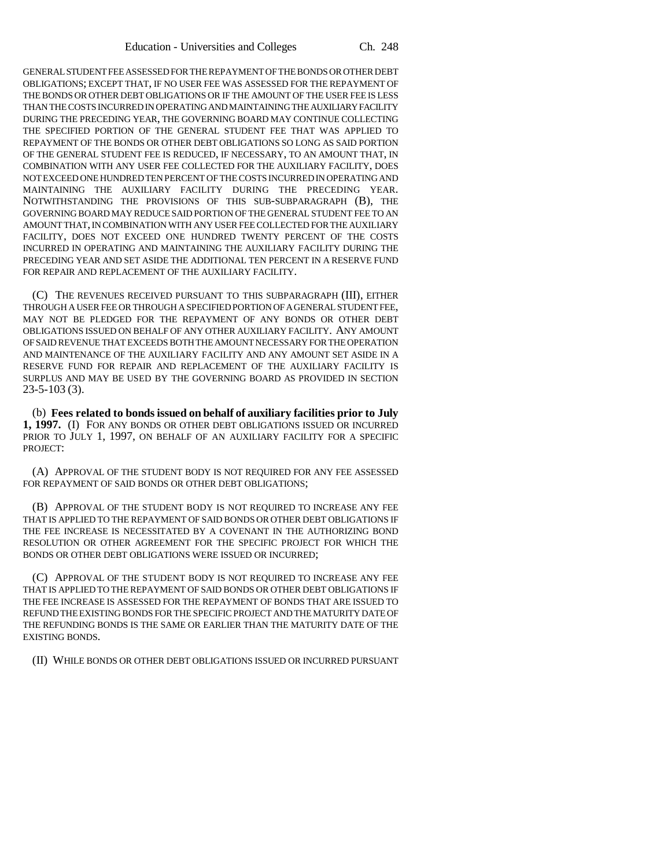GENERAL STUDENT FEE ASSESSED FOR THE REPAYMENT OF THE BONDS OR OTHER DEBT OBLIGATIONS; EXCEPT THAT, IF NO USER FEE WAS ASSESSED FOR THE REPAYMENT OF THE BONDS OR OTHER DEBT OBLIGATIONS OR IF THE AMOUNT OF THE USER FEE IS LESS THAN THE COSTS INCURRED IN OPERATING AND MAINTAINING THE AUXILIARY FACILITY DURING THE PRECEDING YEAR, THE GOVERNING BOARD MAY CONTINUE COLLECTING THE SPECIFIED PORTION OF THE GENERAL STUDENT FEE THAT WAS APPLIED TO REPAYMENT OF THE BONDS OR OTHER DEBT OBLIGATIONS SO LONG AS SAID PORTION OF THE GENERAL STUDENT FEE IS REDUCED, IF NECESSARY, TO AN AMOUNT THAT, IN COMBINATION WITH ANY USER FEE COLLECTED FOR THE AUXILIARY FACILITY, DOES NOT EXCEED ONE HUNDRED TEN PERCENT OF THE COSTS INCURRED IN OPERATING AND MAINTAINING THE AUXILIARY FACILITY DURING THE PRECEDING YEAR. NOTWITHSTANDING THE PROVISIONS OF THIS SUB-SUBPARAGRAPH (B), THE GOVERNING BOARD MAY REDUCE SAID PORTION OF THE GENERAL STUDENT FEE TO AN AMOUNT THAT, IN COMBINATION WITH ANY USER FEE COLLECTED FOR THE AUXILIARY FACILITY, DOES NOT EXCEED ONE HUNDRED TWENTY PERCENT OF THE COSTS INCURRED IN OPERATING AND MAINTAINING THE AUXILIARY FACILITY DURING THE PRECEDING YEAR AND SET ASIDE THE ADDITIONAL TEN PERCENT IN A RESERVE FUND FOR REPAIR AND REPLACEMENT OF THE AUXILIARY FACILITY.

(C) THE REVENUES RECEIVED PURSUANT TO THIS SUBPARAGRAPH (III), EITHER THROUGH A USER FEE OR THROUGH A SPECIFIED PORTION OF A GENERAL STUDENT FEE, MAY NOT BE PLEDGED FOR THE REPAYMENT OF ANY BONDS OR OTHER DEBT OBLIGATIONS ISSUED ON BEHALF OF ANY OTHER AUXILIARY FACILITY. ANY AMOUNT OF SAID REVENUE THAT EXCEEDS BOTH THE AMOUNT NECESSARY FOR THE OPERATION AND MAINTENANCE OF THE AUXILIARY FACILITY AND ANY AMOUNT SET ASIDE IN A RESERVE FUND FOR REPAIR AND REPLACEMENT OF THE AUXILIARY FACILITY IS SURPLUS AND MAY BE USED BY THE GOVERNING BOARD AS PROVIDED IN SECTION 23-5-103 (3).

(b) **Fees related to bonds issued on behalf of auxiliary facilities prior to July 1, 1997.** (I) FOR ANY BONDS OR OTHER DEBT OBLIGATIONS ISSUED OR INCURRED PRIOR TO JULY 1, 1997, ON BEHALF OF AN AUXILIARY FACILITY FOR A SPECIFIC PROJECT:

(A) APPROVAL OF THE STUDENT BODY IS NOT REQUIRED FOR ANY FEE ASSESSED FOR REPAYMENT OF SAID BONDS OR OTHER DEBT OBLIGATIONS;

(B) APPROVAL OF THE STUDENT BODY IS NOT REQUIRED TO INCREASE ANY FEE THAT IS APPLIED TO THE REPAYMENT OF SAID BONDS OR OTHER DEBT OBLIGATIONS IF THE FEE INCREASE IS NECESSITATED BY A COVENANT IN THE AUTHORIZING BOND RESOLUTION OR OTHER AGREEMENT FOR THE SPECIFIC PROJECT FOR WHICH THE BONDS OR OTHER DEBT OBLIGATIONS WERE ISSUED OR INCURRED;

(C) APPROVAL OF THE STUDENT BODY IS NOT REQUIRED TO INCREASE ANY FEE THAT IS APPLIED TO THE REPAYMENT OF SAID BONDS OR OTHER DEBT OBLIGATIONS IF THE FEE INCREASE IS ASSESSED FOR THE REPAYMENT OF BONDS THAT ARE ISSUED TO REFUND THE EXISTING BONDS FOR THE SPECIFIC PROJECT AND THE MATURITY DATE OF THE REFUNDING BONDS IS THE SAME OR EARLIER THAN THE MATURITY DATE OF THE EXISTING BONDS.

(II) WHILE BONDS OR OTHER DEBT OBLIGATIONS ISSUED OR INCURRED PURSUANT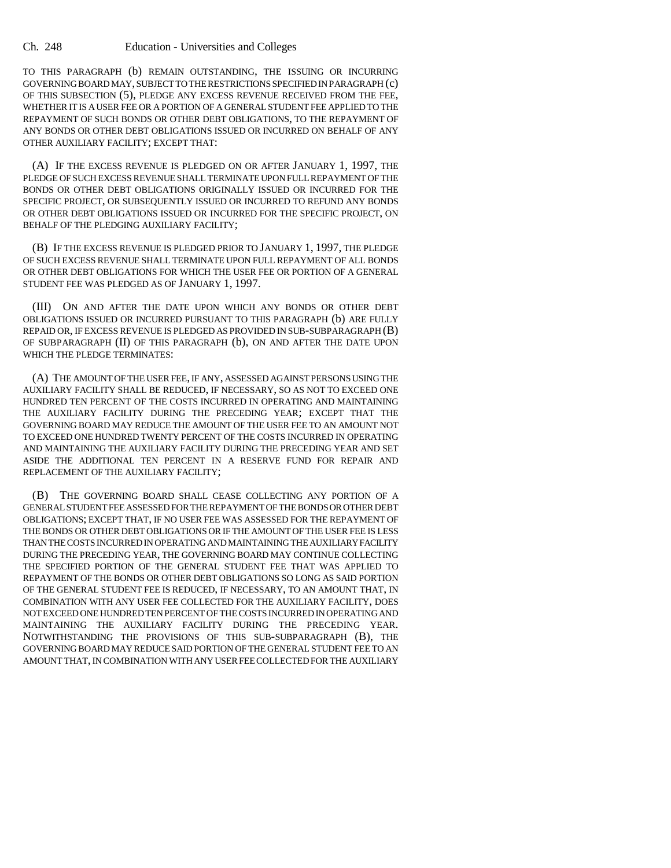TO THIS PARAGRAPH (b) REMAIN OUTSTANDING, THE ISSUING OR INCURRING GOVERNING BOARD MAY, SUBJECT TO THE RESTRICTIONS SPECIFIED IN PARAGRAPH (c) OF THIS SUBSECTION (5), PLEDGE ANY EXCESS REVENUE RECEIVED FROM THE FEE, WHETHER IT IS A USER FEE OR A PORTION OF A GENERAL STUDENT FEE APPLIED TO THE REPAYMENT OF SUCH BONDS OR OTHER DEBT OBLIGATIONS, TO THE REPAYMENT OF ANY BONDS OR OTHER DEBT OBLIGATIONS ISSUED OR INCURRED ON BEHALF OF ANY OTHER AUXILIARY FACILITY; EXCEPT THAT:

(A) IF THE EXCESS REVENUE IS PLEDGED ON OR AFTER JANUARY 1, 1997, THE PLEDGE OF SUCH EXCESS REVENUE SHALL TERMINATE UPON FULL REPAYMENT OF THE BONDS OR OTHER DEBT OBLIGATIONS ORIGINALLY ISSUED OR INCURRED FOR THE SPECIFIC PROJECT, OR SUBSEQUENTLY ISSUED OR INCURRED TO REFUND ANY BONDS OR OTHER DEBT OBLIGATIONS ISSUED OR INCURRED FOR THE SPECIFIC PROJECT, ON BEHALF OF THE PLEDGING AUXILIARY FACILITY;

(B) IF THE EXCESS REVENUE IS PLEDGED PRIOR TO JANUARY 1, 1997, THE PLEDGE OF SUCH EXCESS REVENUE SHALL TERMINATE UPON FULL REPAYMENT OF ALL BONDS OR OTHER DEBT OBLIGATIONS FOR WHICH THE USER FEE OR PORTION OF A GENERAL STUDENT FEE WAS PLEDGED AS OF JANUARY 1, 1997.

(III) ON AND AFTER THE DATE UPON WHICH ANY BONDS OR OTHER DEBT OBLIGATIONS ISSUED OR INCURRED PURSUANT TO THIS PARAGRAPH (b) ARE FULLY REPAID OR, IF EXCESS REVENUE IS PLEDGED AS PROVIDED IN SUB-SUBPARAGRAPH (B) OF SUBPARAGRAPH (II) OF THIS PARAGRAPH (b), ON AND AFTER THE DATE UPON WHICH THE PLEDGE TERMINATES:

(A) THE AMOUNT OF THE USER FEE, IF ANY, ASSESSED AGAINST PERSONS USING THE AUXILIARY FACILITY SHALL BE REDUCED, IF NECESSARY, SO AS NOT TO EXCEED ONE HUNDRED TEN PERCENT OF THE COSTS INCURRED IN OPERATING AND MAINTAINING THE AUXILIARY FACILITY DURING THE PRECEDING YEAR; EXCEPT THAT THE GOVERNING BOARD MAY REDUCE THE AMOUNT OF THE USER FEE TO AN AMOUNT NOT TO EXCEED ONE HUNDRED TWENTY PERCENT OF THE COSTS INCURRED IN OPERATING AND MAINTAINING THE AUXILIARY FACILITY DURING THE PRECEDING YEAR AND SET ASIDE THE ADDITIONAL TEN PERCENT IN A RESERVE FUND FOR REPAIR AND REPLACEMENT OF THE AUXILIARY FACILITY;

(B) THE GOVERNING BOARD SHALL CEASE COLLECTING ANY PORTION OF A GENERAL STUDENT FEE ASSESSED FOR THE REPAYMENT OF THE BONDS OR OTHER DEBT OBLIGATIONS; EXCEPT THAT, IF NO USER FEE WAS ASSESSED FOR THE REPAYMENT OF THE BONDS OR OTHER DEBT OBLIGATIONS OR IF THE AMOUNT OF THE USER FEE IS LESS THAN THE COSTS INCURRED IN OPERATING AND MAINTAINING THE AUXILIARY FACILITY DURING THE PRECEDING YEAR, THE GOVERNING BOARD MAY CONTINUE COLLECTING THE SPECIFIED PORTION OF THE GENERAL STUDENT FEE THAT WAS APPLIED TO REPAYMENT OF THE BONDS OR OTHER DEBT OBLIGATIONS SO LONG AS SAID PORTION OF THE GENERAL STUDENT FEE IS REDUCED, IF NECESSARY, TO AN AMOUNT THAT, IN COMBINATION WITH ANY USER FEE COLLECTED FOR THE AUXILIARY FACILITY, DOES NOT EXCEED ONE HUNDRED TEN PERCENT OF THE COSTS INCURRED IN OPERATING AND MAINTAINING THE AUXILIARY FACILITY DURING THE PRECEDING YEAR. NOTWITHSTANDING THE PROVISIONS OF THIS SUB-SUBPARAGRAPH (B), THE GOVERNING BOARD MAY REDUCE SAID PORTION OF THE GENERAL STUDENT FEE TO AN AMOUNT THAT, IN COMBINATION WITH ANY USER FEE COLLECTED FOR THE AUXILIARY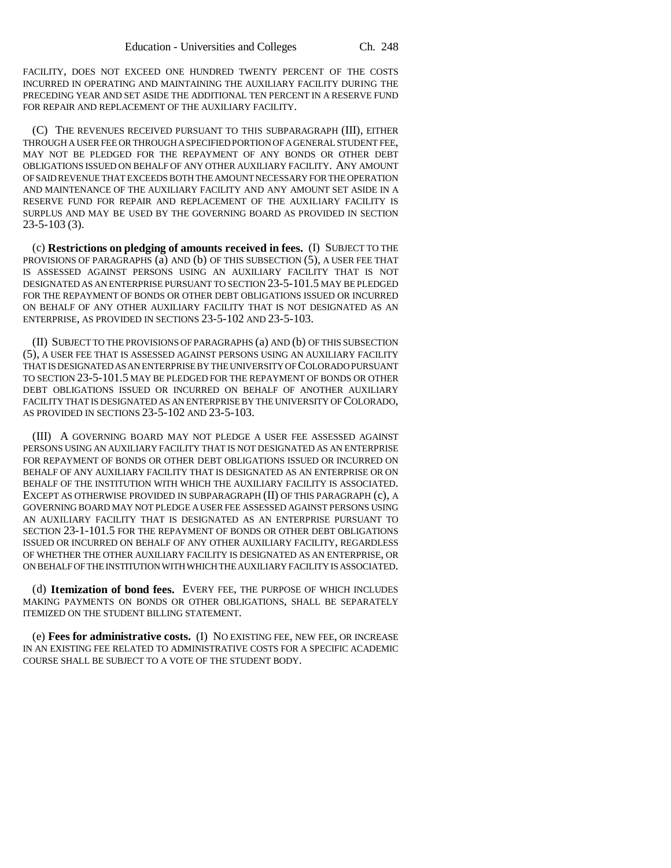FACILITY, DOES NOT EXCEED ONE HUNDRED TWENTY PERCENT OF THE COSTS INCURRED IN OPERATING AND MAINTAINING THE AUXILIARY FACILITY DURING THE PRECEDING YEAR AND SET ASIDE THE ADDITIONAL TEN PERCENT IN A RESERVE FUND FOR REPAIR AND REPLACEMENT OF THE AUXILIARY FACILITY.

(C) THE REVENUES RECEIVED PURSUANT TO THIS SUBPARAGRAPH (III), EITHER THROUGH A USER FEE OR THROUGH A SPECIFIED PORTION OF A GENERAL STUDENT FEE, MAY NOT BE PLEDGED FOR THE REPAYMENT OF ANY BONDS OR OTHER DEBT OBLIGATIONS ISSUED ON BEHALF OF ANY OTHER AUXILIARY FACILITY. ANY AMOUNT OF SAID REVENUE THAT EXCEEDS BOTH THE AMOUNT NECESSARY FOR THE OPERATION AND MAINTENANCE OF THE AUXILIARY FACILITY AND ANY AMOUNT SET ASIDE IN A RESERVE FUND FOR REPAIR AND REPLACEMENT OF THE AUXILIARY FACILITY IS SURPLUS AND MAY BE USED BY THE GOVERNING BOARD AS PROVIDED IN SECTION 23-5-103 (3).

(c) **Restrictions on pledging of amounts received in fees.** (I) SUBJECT TO THE PROVISIONS OF PARAGRAPHS (a) AND (b) OF THIS SUBSECTION (5), A USER FEE THAT IS ASSESSED AGAINST PERSONS USING AN AUXILIARY FACILITY THAT IS NOT DESIGNATED AS AN ENTERPRISE PURSUANT TO SECTION 23-5-101.5 MAY BE PLEDGED FOR THE REPAYMENT OF BONDS OR OTHER DEBT OBLIGATIONS ISSUED OR INCURRED ON BEHALF OF ANY OTHER AUXILIARY FACILITY THAT IS NOT DESIGNATED AS AN ENTERPRISE, AS PROVIDED IN SECTIONS 23-5-102 AND 23-5-103.

(II) SUBJECT TO THE PROVISIONS OF PARAGRAPHS (a) AND (b) OF THIS SUBSECTION (5), A USER FEE THAT IS ASSESSED AGAINST PERSONS USING AN AUXILIARY FACILITY THAT IS DESIGNATED AS AN ENTERPRISE BY THE UNIVERSITY OF COLORADO PURSUANT TO SECTION 23-5-101.5 MAY BE PLEDGED FOR THE REPAYMENT OF BONDS OR OTHER DEBT OBLIGATIONS ISSUED OR INCURRED ON BEHALF OF ANOTHER AUXILIARY FACILITY THAT IS DESIGNATED AS AN ENTERPRISE BY THE UNIVERSITY OF COLORADO, AS PROVIDED IN SECTIONS 23-5-102 AND 23-5-103.

(III) A GOVERNING BOARD MAY NOT PLEDGE A USER FEE ASSESSED AGAINST PERSONS USING AN AUXILIARY FACILITY THAT IS NOT DESIGNATED AS AN ENTERPRISE FOR REPAYMENT OF BONDS OR OTHER DEBT OBLIGATIONS ISSUED OR INCURRED ON BEHALF OF ANY AUXILIARY FACILITY THAT IS DESIGNATED AS AN ENTERPRISE OR ON BEHALF OF THE INSTITUTION WITH WHICH THE AUXILIARY FACILITY IS ASSOCIATED. EXCEPT AS OTHERWISE PROVIDED IN SUBPARAGRAPH (II) OF THIS PARAGRAPH (c), A GOVERNING BOARD MAY NOT PLEDGE A USER FEE ASSESSED AGAINST PERSONS USING AN AUXILIARY FACILITY THAT IS DESIGNATED AS AN ENTERPRISE PURSUANT TO SECTION 23-1-101.5 FOR THE REPAYMENT OF BONDS OR OTHER DEBT OBLIGATIONS ISSUED OR INCURRED ON BEHALF OF ANY OTHER AUXILIARY FACILITY, REGARDLESS OF WHETHER THE OTHER AUXILIARY FACILITY IS DESIGNATED AS AN ENTERPRISE, OR ON BEHALF OF THE INSTITUTION WITH WHICH THE AUXILIARY FACILITY IS ASSOCIATED.

(d) **Itemization of bond fees.** EVERY FEE, THE PURPOSE OF WHICH INCLUDES MAKING PAYMENTS ON BONDS OR OTHER OBLIGATIONS, SHALL BE SEPARATELY ITEMIZED ON THE STUDENT BILLING STATEMENT.

(e) **Fees for administrative costs.** (I) NO EXISTING FEE, NEW FEE, OR INCREASE IN AN EXISTING FEE RELATED TO ADMINISTRATIVE COSTS FOR A SPECIFIC ACADEMIC COURSE SHALL BE SUBJECT TO A VOTE OF THE STUDENT BODY.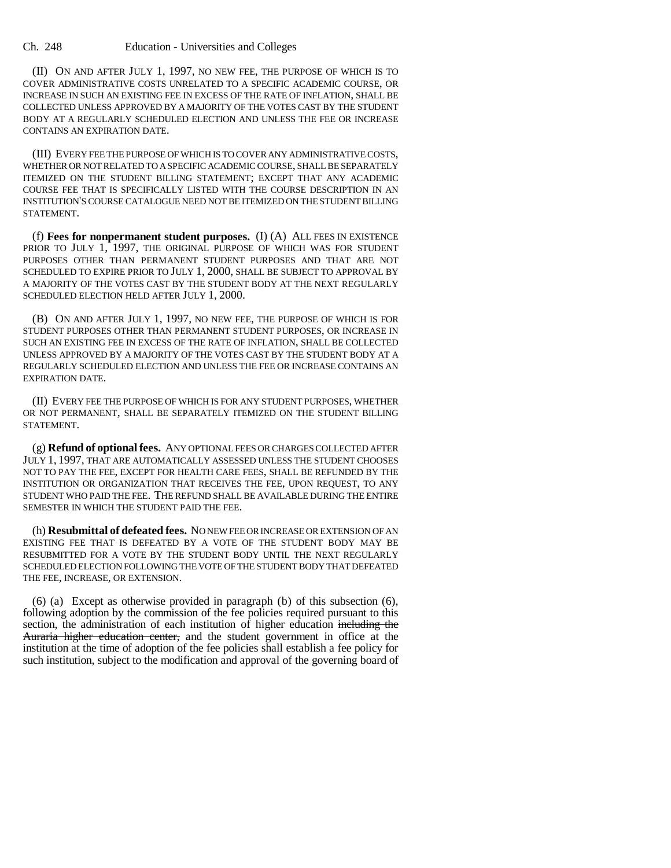(II) ON AND AFTER JULY 1, 1997, NO NEW FEE, THE PURPOSE OF WHICH IS TO COVER ADMINISTRATIVE COSTS UNRELATED TO A SPECIFIC ACADEMIC COURSE, OR INCREASE IN SUCH AN EXISTING FEE IN EXCESS OF THE RATE OF INFLATION, SHALL BE COLLECTED UNLESS APPROVED BY A MAJORITY OF THE VOTES CAST BY THE STUDENT BODY AT A REGULARLY SCHEDULED ELECTION AND UNLESS THE FEE OR INCREASE CONTAINS AN EXPIRATION DATE.

(III) EVERY FEE THE PURPOSE OF WHICH IS TO COVER ANY ADMINISTRATIVE COSTS, WHETHER OR NOT RELATED TO A SPECIFIC ACADEMIC COURSE, SHALL BE SEPARATELY ITEMIZED ON THE STUDENT BILLING STATEMENT; EXCEPT THAT ANY ACADEMIC COURSE FEE THAT IS SPECIFICALLY LISTED WITH THE COURSE DESCRIPTION IN AN INSTITUTION'S COURSE CATALOGUE NEED NOT BE ITEMIZED ON THE STUDENT BILLING STATEMENT.

(f) **Fees for nonpermanent student purposes.** (I) (A) ALL FEES IN EXISTENCE PRIOR TO JULY 1, 1997, THE ORIGINAL PURPOSE OF WHICH WAS FOR STUDENT PURPOSES OTHER THAN PERMANENT STUDENT PURPOSES AND THAT ARE NOT SCHEDULED TO EXPIRE PRIOR TO JULY 1, 2000, SHALL BE SUBJECT TO APPROVAL BY A MAJORITY OF THE VOTES CAST BY THE STUDENT BODY AT THE NEXT REGULARLY SCHEDULED ELECTION HELD AFTER JULY 1, 2000.

(B) ON AND AFTER JULY 1, 1997, NO NEW FEE, THE PURPOSE OF WHICH IS FOR STUDENT PURPOSES OTHER THAN PERMANENT STUDENT PURPOSES, OR INCREASE IN SUCH AN EXISTING FEE IN EXCESS OF THE RATE OF INFLATION, SHALL BE COLLECTED UNLESS APPROVED BY A MAJORITY OF THE VOTES CAST BY THE STUDENT BODY AT A REGULARLY SCHEDULED ELECTION AND UNLESS THE FEE OR INCREASE CONTAINS AN EXPIRATION DATE.

(II) EVERY FEE THE PURPOSE OF WHICH IS FOR ANY STUDENT PURPOSES, WHETHER OR NOT PERMANENT, SHALL BE SEPARATELY ITEMIZED ON THE STUDENT BILLING STATEMENT.

(g) **Refund of optional fees.** ANY OPTIONAL FEES OR CHARGES COLLECTED AFTER JULY 1, 1997, THAT ARE AUTOMATICALLY ASSESSED UNLESS THE STUDENT CHOOSES NOT TO PAY THE FEE, EXCEPT FOR HEALTH CARE FEES, SHALL BE REFUNDED BY THE INSTITUTION OR ORGANIZATION THAT RECEIVES THE FEE, UPON REQUEST, TO ANY STUDENT WHO PAID THE FEE. THE REFUND SHALL BE AVAILABLE DURING THE ENTIRE SEMESTER IN WHICH THE STUDENT PAID THE FEE.

(h) **Resubmittal of defeated fees.** NO NEW FEE OR INCREASE OR EXTENSION OF AN EXISTING FEE THAT IS DEFEATED BY A VOTE OF THE STUDENT BODY MAY BE RESUBMITTED FOR A VOTE BY THE STUDENT BODY UNTIL THE NEXT REGULARLY SCHEDULED ELECTION FOLLOWING THE VOTE OF THE STUDENT BODY THAT DEFEATED THE FEE, INCREASE, OR EXTENSION.

(6) (a) Except as otherwise provided in paragraph (b) of this subsection (6), following adoption by the commission of the fee policies required pursuant to this section, the administration of each institution of higher education including the Auraria higher education center, and the student government in office at the institution at the time of adoption of the fee policies shall establish a fee policy for such institution, subject to the modification and approval of the governing board of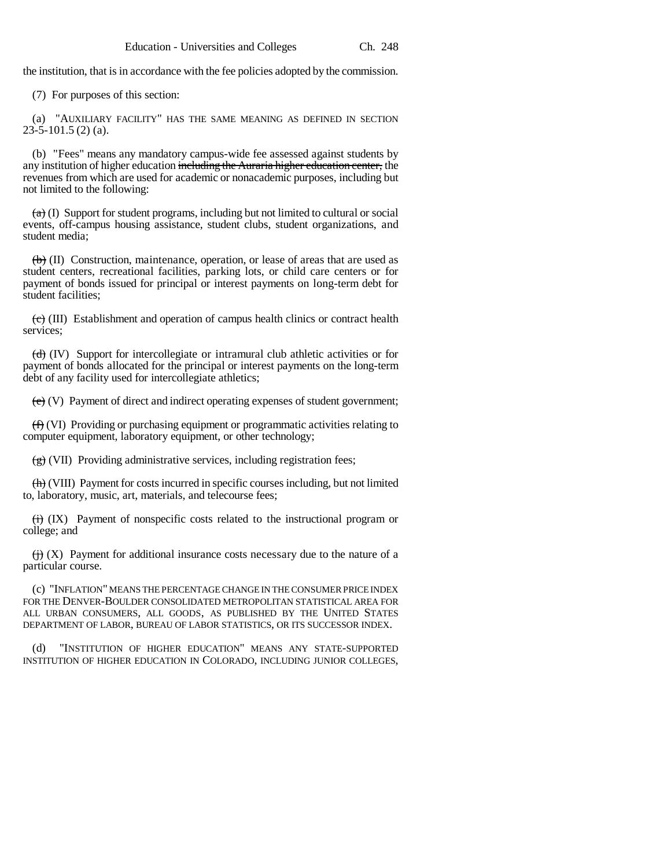the institution, that is in accordance with the fee policies adopted by the commission.

(7) For purposes of this section:

(a) "AUXILIARY FACILITY" HAS THE SAME MEANING AS DEFINED IN SECTION  $23-5-101.5$  (2) (a).

(b) "Fees" means any mandatory campus-wide fee assessed against students by any institution of higher education including the Auraria higher education center, the revenues from which are used for academic or nonacademic purposes, including but not limited to the following:

 $(a)$  (I) Support for student programs, including but not limited to cultural or social events, off-campus housing assistance, student clubs, student organizations, and student media;

 $\left(\frac{b}{b}\right)$  (II) Construction, maintenance, operation, or lease of areas that are used as student centers, recreational facilities, parking lots, or child care centers or for payment of bonds issued for principal or interest payments on long-term debt for student facilities;

 $\left(\frac{c}{c}\right)$  (III) Establishment and operation of campus health clinics or contract health services;

 $(d)$  (IV) Support for intercollegiate or intramural club athletic activities or for payment of bonds allocated for the principal or interest payments on the long-term debt of any facility used for intercollegiate athletics;

 $(e)$  (V) Payment of direct and indirect operating expenses of student government;

 $(f)$  (VI) Providing or purchasing equipment or programmatic activities relating to computer equipment, laboratory equipment, or other technology;

 $\left(\frac{g}{g}\right)$  (VII) Providing administrative services, including registration fees;

(h) (VIII) Payment for costs incurred in specific courses including, but not limited to, laboratory, music, art, materials, and telecourse fees;

 $\overleftrightarrow{H}$  (IX) Payment of nonspecific costs related to the instructional program or college; and

 $\overleftrightarrow{H}$  (X) Payment for additional insurance costs necessary due to the nature of a particular course.

(c) "INFLATION" MEANS THE PERCENTAGE CHANGE IN THE CONSUMER PRICE INDEX FOR THE DENVER-BOULDER CONSOLIDATED METROPOLITAN STATISTICAL AREA FOR ALL URBAN CONSUMERS, ALL GOODS, AS PUBLISHED BY THE UNITED STATES DEPARTMENT OF LABOR, BUREAU OF LABOR STATISTICS, OR ITS SUCCESSOR INDEX.

(d) "INSTITUTION OF HIGHER EDUCATION" MEANS ANY STATE-SUPPORTED INSTITUTION OF HIGHER EDUCATION IN COLORADO, INCLUDING JUNIOR COLLEGES,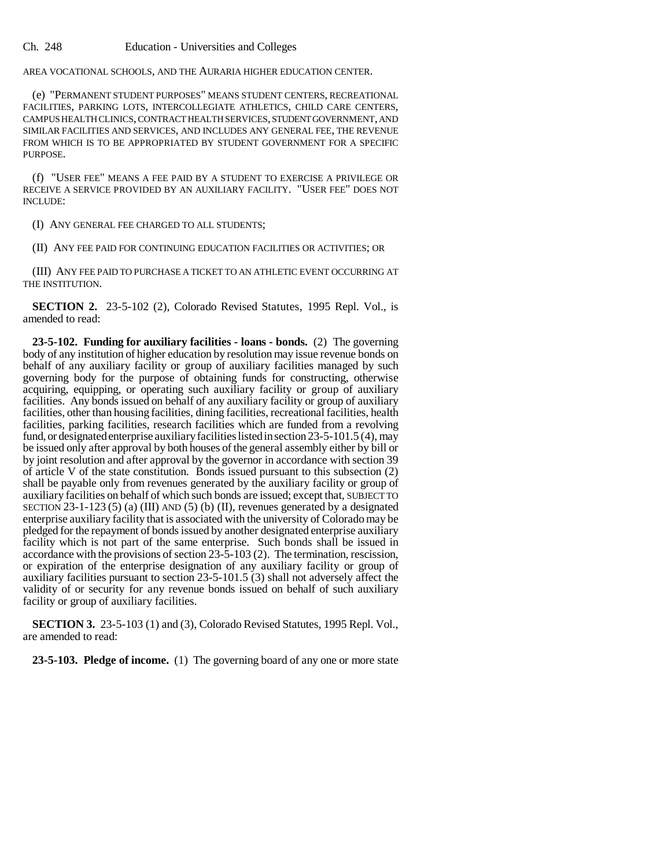AREA VOCATIONAL SCHOOLS, AND THE AURARIA HIGHER EDUCATION CENTER.

(e) "PERMANENT STUDENT PURPOSES" MEANS STUDENT CENTERS, RECREATIONAL FACILITIES, PARKING LOTS, INTERCOLLEGIATE ATHLETICS, CHILD CARE CENTERS, CAMPUS HEALTH CLINICS, CONTRACT HEALTH SERVICES, STUDENT GOVERNMENT, AND SIMILAR FACILITIES AND SERVICES, AND INCLUDES ANY GENERAL FEE, THE REVENUE FROM WHICH IS TO BE APPROPRIATED BY STUDENT GOVERNMENT FOR A SPECIFIC PURPOSE.

(f) "USER FEE" MEANS A FEE PAID BY A STUDENT TO EXERCISE A PRIVILEGE OR RECEIVE A SERVICE PROVIDED BY AN AUXILIARY FACILITY. "USER FEE" DOES NOT INCLUDE:

(I) ANY GENERAL FEE CHARGED TO ALL STUDENTS;

(II) ANY FEE PAID FOR CONTINUING EDUCATION FACILITIES OR ACTIVITIES; OR

(III) ANY FEE PAID TO PURCHASE A TICKET TO AN ATHLETIC EVENT OCCURRING AT THE INSTITUTION.

**SECTION 2.** 23-5-102 (2), Colorado Revised Statutes, 1995 Repl. Vol., is amended to read:

**23-5-102. Funding for auxiliary facilities - loans - bonds.** (2) The governing body of any institution of higher education by resolution may issue revenue bonds on behalf of any auxiliary facility or group of auxiliary facilities managed by such governing body for the purpose of obtaining funds for constructing, otherwise acquiring, equipping, or operating such auxiliary facility or group of auxiliary facilities. Any bonds issued on behalf of any auxiliary facility or group of auxiliary facilities, other than housing facilities, dining facilities, recreational facilities, health facilities, parking facilities, research facilities which are funded from a revolving fund, or designated enterprise auxiliary facilities listed in section 23-5-101.5 (4), may be issued only after approval by both houses of the general assembly either by bill or by joint resolution and after approval by the governor in accordance with section 39 of article V of the state constitution. Bonds issued pursuant to this subsection (2) shall be payable only from revenues generated by the auxiliary facility or group of auxiliary facilities on behalf of which such bonds are issued; except that, SUBJECT TO SECTION 23-1-123 (5) (a) (III) AND (5) (b) (II), revenues generated by a designated enterprise auxiliary facility that is associated with the university of Colorado may be pledged for the repayment of bonds issued by another designated enterprise auxiliary facility which is not part of the same enterprise. Such bonds shall be issued in accordance with the provisions of section 23-5-103 (2). The termination, rescission, or expiration of the enterprise designation of any auxiliary facility or group of auxiliary facilities pursuant to section 23-5-101.5 (3) shall not adversely affect the validity of or security for any revenue bonds issued on behalf of such auxiliary facility or group of auxiliary facilities.

**SECTION 3.** 23-5-103 (1) and (3), Colorado Revised Statutes, 1995 Repl. Vol., are amended to read:

**23-5-103. Pledge of income.** (1) The governing board of any one or more state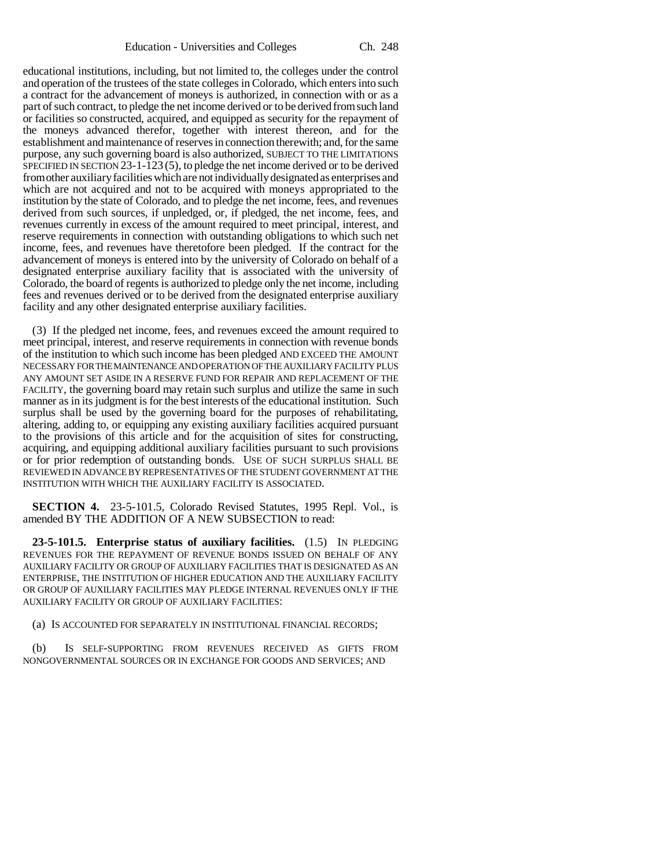educational institutions, including, but not limited to, the colleges under the control and operation of the trustees of the state colleges in Colorado, which enters into such a contract for the advancement of moneys is authorized, in connection with or as a part of such contract, to pledge the net income derived or to be derived from such land or facilities so constructed, acquired, and equipped as security for the repayment of the moneys advanced therefor, together with interest thereon, and for the establishment and maintenance of reserves in connection therewith; and, for the same purpose, any such governing board is also authorized, SUBJECT TO THE LIMITATIONS SPECIFIED IN SECTION 23-1-123 (5), to pledge the net income derived or to be derived from other auxiliary facilities which are not individually designated as enterprises and which are not acquired and not to be acquired with moneys appropriated to the institution by the state of Colorado, and to pledge the net income, fees, and revenues derived from such sources, if unpledged, or, if pledged, the net income, fees, and revenues currently in excess of the amount required to meet principal, interest, and reserve requirements in connection with outstanding obligations to which such net income, fees, and revenues have theretofore been pledged. If the contract for the advancement of moneys is entered into by the university of Colorado on behalf of a designated enterprise auxiliary facility that is associated with the university of Colorado, the board of regents is authorized to pledge only the net income, including fees and revenues derived or to be derived from the designated enterprise auxiliary facility and any other designated enterprise auxiliary facilities.

(3) If the pledged net income, fees, and revenues exceed the amount required to meet principal, interest, and reserve requirements in connection with revenue bonds of the institution to which such income has been pledged AND EXCEED THE AMOUNT NECESSARY FOR THE MAINTENANCE AND OPERATION OF THE AUXILIARY FACILITY PLUS ANY AMOUNT SET ASIDE IN A RESERVE FUND FOR REPAIR AND REPLACEMENT OF THE FACILITY, the governing board may retain such surplus and utilize the same in such manner as in its judgment is for the best interests of the educational institution. Such surplus shall be used by the governing board for the purposes of rehabilitating, altering, adding to, or equipping any existing auxiliary facilities acquired pursuant to the provisions of this article and for the acquisition of sites for constructing, acquiring, and equipping additional auxiliary facilities pursuant to such provisions or for prior redemption of outstanding bonds. USE OF SUCH SURPLUS SHALL BE REVIEWED IN ADVANCE BY REPRESENTATIVES OF THE STUDENT GOVERNMENT AT THE INSTITUTION WITH WHICH THE AUXILIARY FACILITY IS ASSOCIATED.

**SECTION 4.** 23-5-101.5, Colorado Revised Statutes, 1995 Repl. Vol., is amended BY THE ADDITION OF A NEW SUBSECTION to read:

**23-5-101.5. Enterprise status of auxiliary facilities.** (1.5) IN PLEDGING REVENUES FOR THE REPAYMENT OF REVENUE BONDS ISSUED ON BEHALF OF ANY AUXILIARY FACILITY OR GROUP OF AUXILIARY FACILITIES THAT IS DESIGNATED AS AN ENTERPRISE, THE INSTITUTION OF HIGHER EDUCATION AND THE AUXILIARY FACILITY OR GROUP OF AUXILIARY FACILITIES MAY PLEDGE INTERNAL REVENUES ONLY IF THE AUXILIARY FACILITY OR GROUP OF AUXILIARY FACILITIES:

(a) IS ACCOUNTED FOR SEPARATELY IN INSTITUTIONAL FINANCIAL RECORDS;

(b) IS SELF-SUPPORTING FROM REVENUES RECEIVED AS GIFTS FROM NONGOVERNMENTAL SOURCES OR IN EXCHANGE FOR GOODS AND SERVICES; AND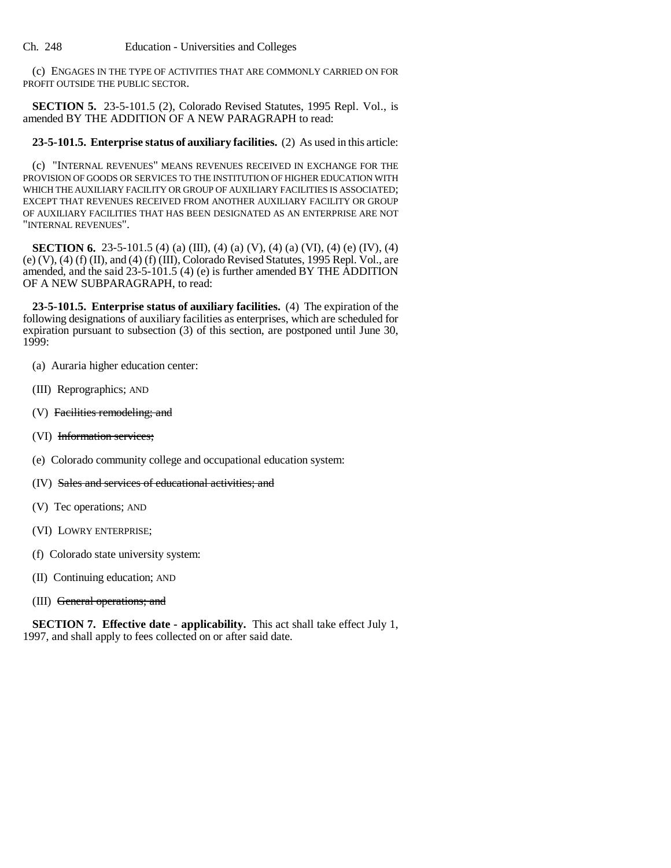(c) ENGAGES IN THE TYPE OF ACTIVITIES THAT ARE COMMONLY CARRIED ON FOR PROFIT OUTSIDE THE PUBLIC SECTOR.

**SECTION 5.** 23-5-101.5 (2), Colorado Revised Statutes, 1995 Repl. Vol., is amended BY THE ADDITION OF A NEW PARAGRAPH to read:

## **23-5-101.5. Enterprise status of auxiliary facilities.** (2) As used in this article:

(c) "INTERNAL REVENUES" MEANS REVENUES RECEIVED IN EXCHANGE FOR THE PROVISION OF GOODS OR SERVICES TO THE INSTITUTION OF HIGHER EDUCATION WITH WHICH THE AUXILIARY FACILITY OR GROUP OF AUXILIARY FACILITIES IS ASSOCIATED; EXCEPT THAT REVENUES RECEIVED FROM ANOTHER AUXILIARY FACILITY OR GROUP OF AUXILIARY FACILITIES THAT HAS BEEN DESIGNATED AS AN ENTERPRISE ARE NOT "INTERNAL REVENUES".

**SECTION 6.** 23-5-101.5 (4) (a) (III), (4) (a) (V), (4) (a) (VI), (4) (e) (IV), (4) (e)  $(V)$ ,  $(4)$   $(f)$   $(II)$ , and  $(4)$   $(f)$   $(III)$ , Colorado Revised Statutes, 1995 Repl. Vol., are amended, and the said 23-5-101.5 (4) (e) is further amended BY THE ADDITION OF A NEW SUBPARAGRAPH, to read:

**23-5-101.5. Enterprise status of auxiliary facilities.** (4) The expiration of the following designations of auxiliary facilities as enterprises, which are scheduled for expiration pursuant to subsection (3) of this section, are postponed until June 30, 1999:

- (a) Auraria higher education center:
- (III) Reprographics; AND
- (V) Facilities remodeling; and
- (VI) Information services;
- (e) Colorado community college and occupational education system:
- (IV) Sales and services of educational activities; and
- (V) Tec operations; AND
- (VI) LOWRY ENTERPRISE;
- (f) Colorado state university system:
- (II) Continuing education; AND
- (III) General operations; and

**SECTION 7. Effective date - applicability.** This act shall take effect July 1, 1997, and shall apply to fees collected on or after said date.